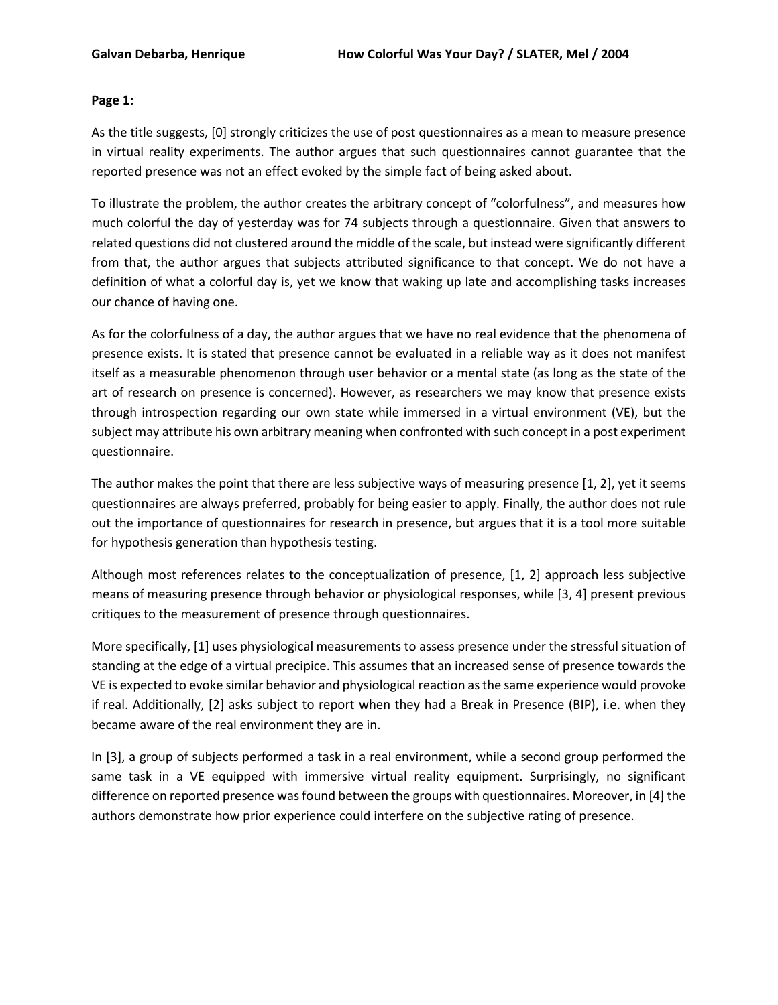## **Page 1:**

As the title suggests, [0] strongly criticizes the use of post questionnaires as a mean to measure presence in virtual reality experiments. The author argues that such questionnaires cannot guarantee that the reported presence was not an effect evoked by the simple fact of being asked about.

To illustrate the problem, the author creates the arbitrary concept of "colorfulness", and measures how much colorful the day of yesterday was for 74 subjects through a questionnaire. Given that answers to related questions did not clustered around the middle of the scale, but instead were significantly different from that, the author argues that subjects attributed significance to that concept. We do not have a definition of what a colorful day is, yet we know that waking up late and accomplishing tasks increases our chance of having one.

As for the colorfulness of a day, the author argues that we have no real evidence that the phenomena of presence exists. It is stated that presence cannot be evaluated in a reliable way as it does not manifest itself as a measurable phenomenon through user behavior or a mental state (as long as the state of the art of research on presence is concerned). However, as researchers we may know that presence exists through introspection regarding our own state while immersed in a virtual environment (VE), but the subject may attribute his own arbitrary meaning when confronted with such concept in a post experiment questionnaire.

The author makes the point that there are less subjective ways of measuring presence [1, 2], yet it seems questionnaires are always preferred, probably for being easier to apply. Finally, the author does not rule out the importance of questionnaires for research in presence, but argues that it is a tool more suitable for hypothesis generation than hypothesis testing.

Although most references relates to the conceptualization of presence, [1, 2] approach less subjective means of measuring presence through behavior or physiological responses, while [3, 4] present previous critiques to the measurement of presence through questionnaires.

More specifically, [1] uses physiological measurements to assess presence under the stressful situation of standing at the edge of a virtual precipice. This assumes that an increased sense of presence towards the VE is expected to evoke similar behavior and physiological reaction as the same experience would provoke if real. Additionally, [2] asks subject to report when they had a Break in Presence (BIP), i.e. when they became aware of the real environment they are in.

In [3], a group of subjects performed a task in a real environment, while a second group performed the same task in a VE equipped with immersive virtual reality equipment. Surprisingly, no significant difference on reported presence was found between the groups with questionnaires. Moreover, in [4] the authors demonstrate how prior experience could interfere on the subjective rating of presence.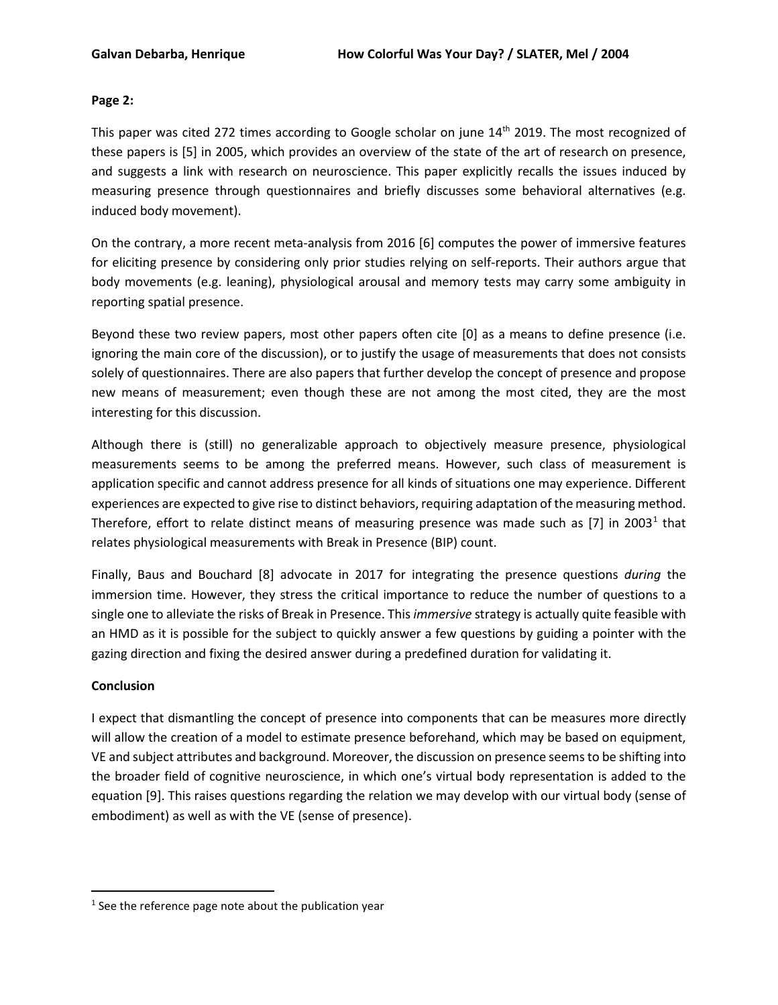## **Page 2:**

This paper was cited 272 times according to Google scholar on june 14<sup>th</sup> 2019. The most recognized of these papers is [5] in 2005, which provides an overview of the state of the art of research on presence, and suggests a link with research on neuroscience. This paper explicitly recalls the issues induced by measuring presence through questionnaires and briefly discusses some behavioral alternatives (e.g. induced body movement).

On the contrary, a more recent meta-analysis from 2016 [6] computes the power of immersive features for eliciting presence by considering only prior studies relying on self-reports. Their authors argue that body movements (e.g. leaning), physiological arousal and memory tests may carry some ambiguity in reporting spatial presence.

Beyond these two review papers, most other papers often cite [0] as a means to define presence (i.e. ignoring the main core of the discussion), or to justify the usage of measurements that does not consists solely of questionnaires. There are also papers that further develop the concept of presence and propose new means of measurement; even though these are not among the most cited, they are the most interesting for this discussion.

Although there is (still) no generalizable approach to objectively measure presence, physiological measurements seems to be among the preferred means. However, such class of measurement is application specific and cannot address presence for all kinds of situations one may experience. Different experiences are expected to give rise to distinct behaviors, requiring adaptation of the measuring method. Therefore, effort to relate distinct means of measuring presence was made such as  $[7]$  in 2003<sup>[1](#page-1-0)</sup> that relates physiological measurements with Break in Presence (BIP) count.

Finally, Baus and Bouchard [8] advocate in 2017 for integrating the presence questions *during* the immersion time. However, they stress the critical importance to reduce the number of questions to a single one to alleviate the risks of Break in Presence. This *immersive* strategy is actually quite feasible with an HMD as it is possible for the subject to quickly answer a few questions by guiding a pointer with the gazing direction and fixing the desired answer during a predefined duration for validating it.

## **Conclusion**

I expect that dismantling the concept of presence into components that can be measures more directly will allow the creation of a model to estimate presence beforehand, which may be based on equipment, VE and subject attributes and background. Moreover, the discussion on presence seems to be shifting into the broader field of cognitive neuroscience, in which one's virtual body representation is added to the equation [9]. This raises questions regarding the relation we may develop with our virtual body (sense of embodiment) as well as with the VE (sense of presence).

<span id="page-1-0"></span> $1$  See the reference page note about the publication year